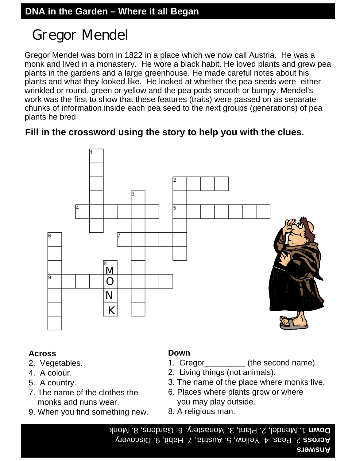## Gregor Mendel

Gregor Mendel was born in 1822 in a place which we now call Austria. He was a monk and lived in a monastery. He wore a black habit. He loved plants and grew pea plants in the gardens and a large greenhouse. He made careful notes about his plants and what they looked like. He looked at whether the pea seeds were either wrinkled or round, green or yellow and the pea pods smooth or bumpy. Mendel's work was the first to show that these features (traits) were passed on as separate chunks of information inside each pea seed to the next groups (generations) of pea plants he bred

### **Fill in the crossword using the story to help you with the clues.**



#### **Across**

- 2. Vegetables.
- 4. A colour.
- 5. A country.
- 7. The name of the clothes the monks and nuns wear.
- 9. When you find something new.

### **Down**

- 1. Gregor (the second name).
- 2. Living things (not animals).
- 3. The name of the place where monks live.
- 6. Places where plants grow or where you may play outside.
- 8. A religious man.

**Answers** 9. Discovery a, 7. Habit, 2. Peas, 4. Yellow, 5. Austri **Across Down** 1. Mendel, 2. Plant, 3. Monastery, 6. Gardens, 8. Monk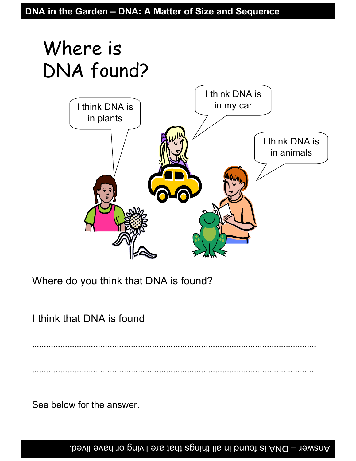# Where is DNA found?



Where do you think that DNA is found?

I think that DNA is found

………………………………………………………………………………………………………….

…………………………………………………………………………………………………………

See below for the answer.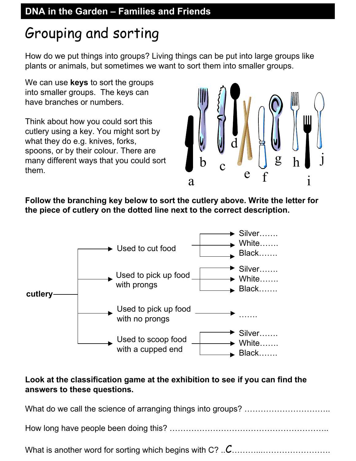## Grouping and sorting

How do we put things into groups? Living things can be put into large groups like plants or animals, but sometimes we want to sort them into smaller groups.

We can use **keys** to sort the groups into smaller groups. The keys can have branches or numbers.

Think about how you could sort this cutlery using a key. You might sort by what they do e.g. knives, forks, spoons, or by their colour. There are many different ways that you could sort them.



**Follow the branching key below to sort the cutlery above. Write the letter for the piece of cutlery on the dotted line next to the correct description.**



### **Look at the classification game at the exhibition to see if you can find the answers to these questions.**